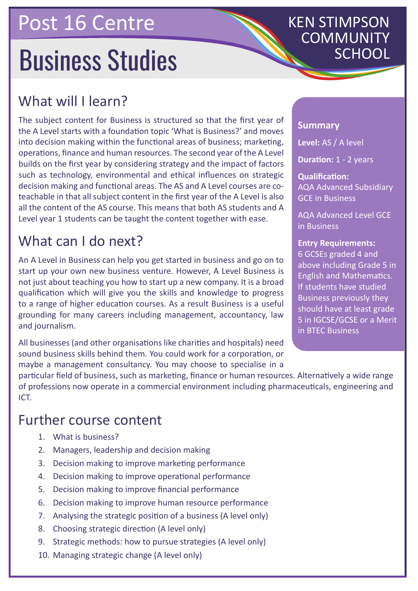## Post 16 Centre

# **Business Studies**

## What will I learn?

The subject content for Business is structured so that the first year of the A Level starts with a foundation topic 'What is Business?' and moves into decision making within the functional areas of business; marketing, operations, finance and human resources. The second year of the A Level builds on the first year by considering strategy and the impact of factors such as technology, environmental and ethical influences on strategic decision making and functional areas. The AS and A Level courses are coteachable in that all subject content in the first year of the A Level is also all the content of the AS course. This means that both AS students and A Level year 1 students can be taught the content together with ease.

## What can I do next?

An A Level in Business can help you get started in business and go on to start up your own new business venture. However, A Level Business is not just about teaching you how to start up a new company. It is a broad qualification which will give you the skills and knowledge to progress to a range of higher education courses. As a result Business is a useful grounding for many careers including management, accountancy, law and journalism.

All businesses (and other organisations like charities and hospitals) need sound business skills behind them. You could work for a corporation, or maybe a management consultancy. You may choose to specialise in a

## **Summary**

**Level:** AS / A level

**Duration:** 1 - 2 years

KEN STIMPSON

COMMUNITY

**Qualification:** AQA Advanced Subsidiary GCE in Business

AQA Advanced Level GCE in Business

#### **Entry Requirements:** 6 GCSEs graded 4 and above including Grade 5 in English and Mathematics. If students have studied Business previously they should have at least grade 5 in IGCSE/GCSE or a Merit in BTEC Business

particular field of business, such as marketing, finance or human resources. Alternatively a wide range of professions now operate in a commercial environment including pharmaceuticals, engineering and ICT.

## Further course content

- 1. What is business?
- 2. Managers, leadership and decision making
- 3. Decision making to improve marketing performance
- 4. Decision making to improve operational performance
- 5. Decision making to improve financial performance
- 6. Decision making to improve human resource performance
- 7. Analysing the strategic position of a business (A level only)
- 8. Choosing strategic direction (A level only)
- 9. Strategic methods: how to pursue strategies (A level only)
- 10. Managing strategic change (A level only)